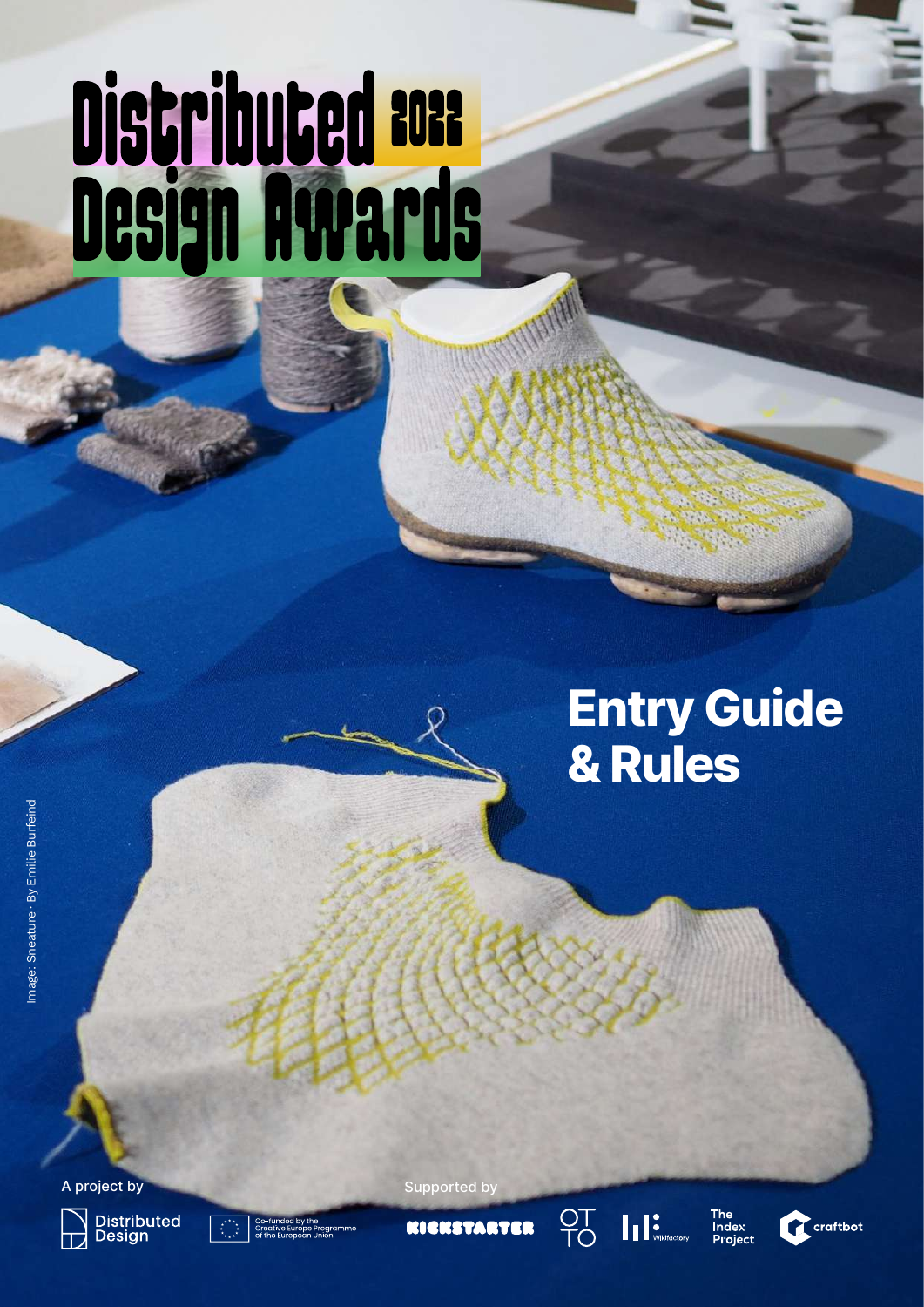# Distributed BOR<br>Design Awards

# Entry Guide & Rules







OT<br>TO



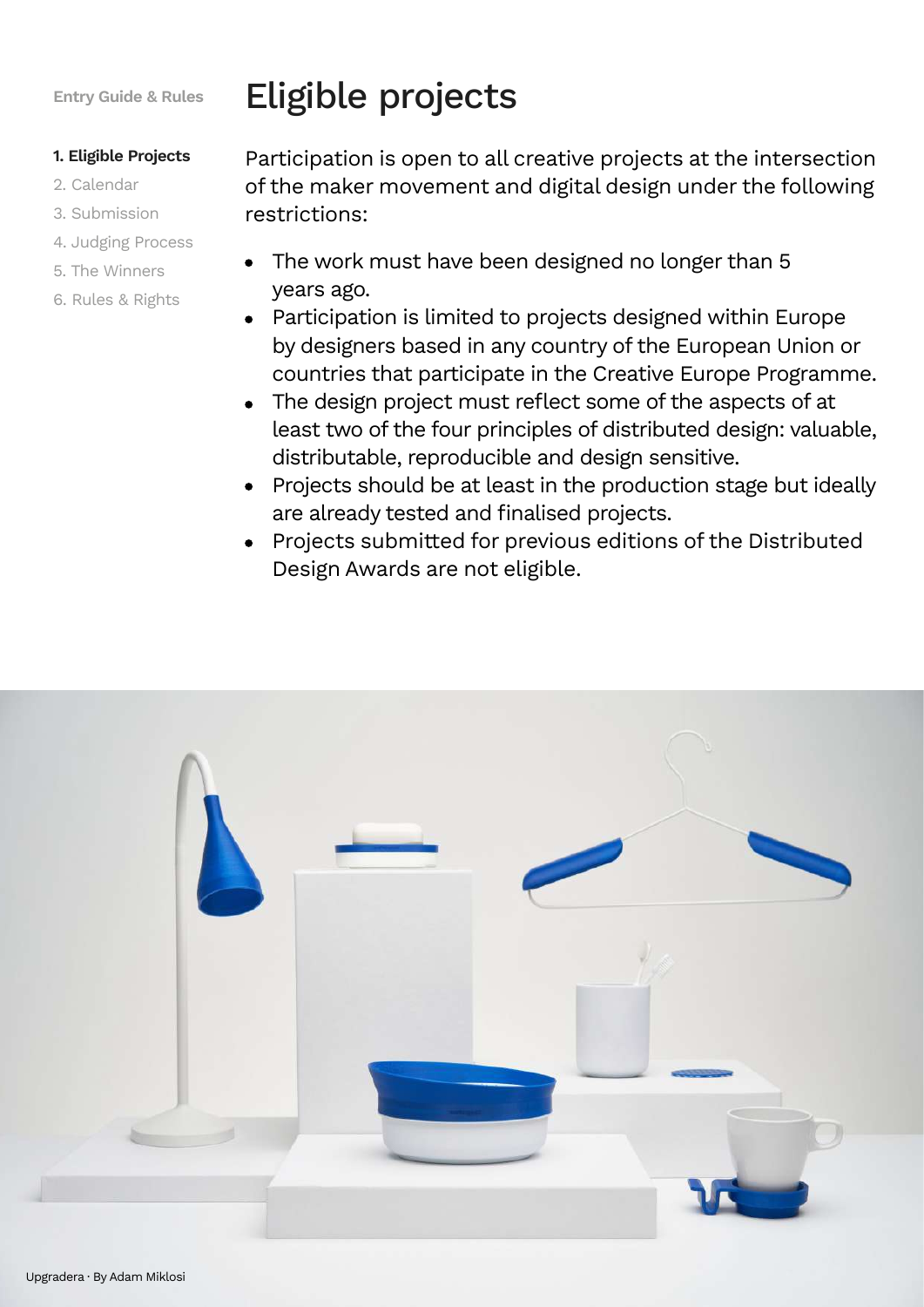#### **1. Eligible Projects**

- 2. Calendar
- 3. Submission
- 4. Judging Process
- 5. The Winners
- 6. Rules & Rights

# Eligible projects

Participation is open to all creative projects at the intersection of the maker movement and digital design under the following restrictions:

- The work must have been designed no longer than 5 years ago.
- Participation is limited to projects designed within Europe by designers based in any country of the European Union or countries that participate in the Creative Europe Programme.
- The design project must reflect some of the aspects of at least two of the four principles of distributed design: valuable, distributable, reproducible and design sensitive.
- Projects should be at least in the production stage but ideally are already tested and finalised projects.
- Projects submitted for previous editions of the Distributed Design Awards are not eligible.

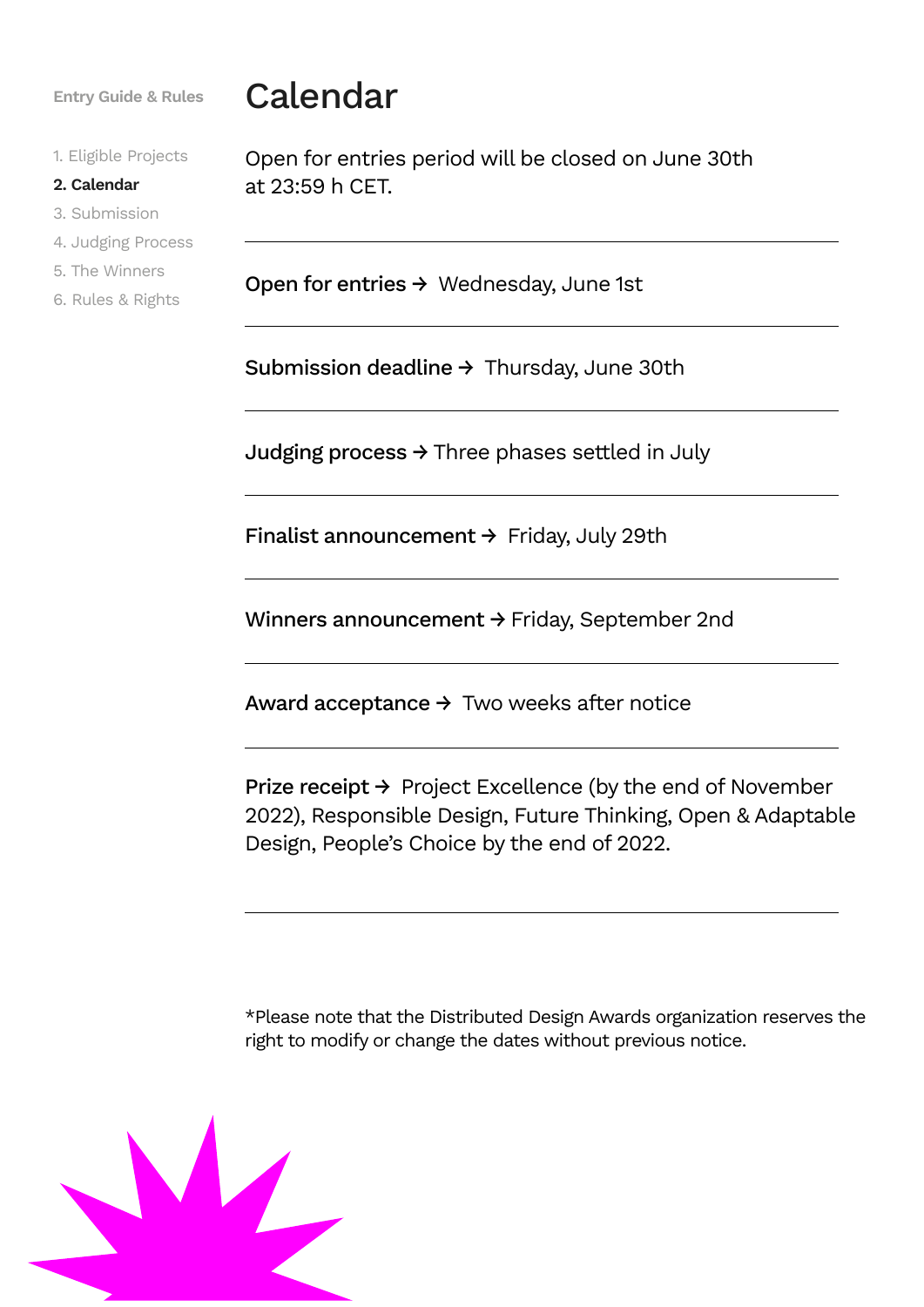1. Eligible Projects

#### **2. Calendar**

3. Submission

- 4. Judging Process
- 5. The Winners
- 6. Rules & Rights

## **Entry Guide & Rules** Calendar

Open for entries period will be closed on June 30th at 23:59 h CET.

Open for entries → Wednesday, June 1st

Submission deadline → Thursday, June 30th

Judging process  $\rightarrow$  Three phases settled in July

Finalist announcement  $\rightarrow$  Friday, July 29th

Winners announcement → Friday, September 2nd

Award acceptance  $\rightarrow$  Two weeks after notice

Prize receipt → Project Excellence (by the end of November 2022), Responsible Design, Future Thinking, Open & Adaptable Design, People's Choice by the end of 2022.

\*Please note that the Distributed Design Awards organization reserves the right to modify or change the dates without previous notice.

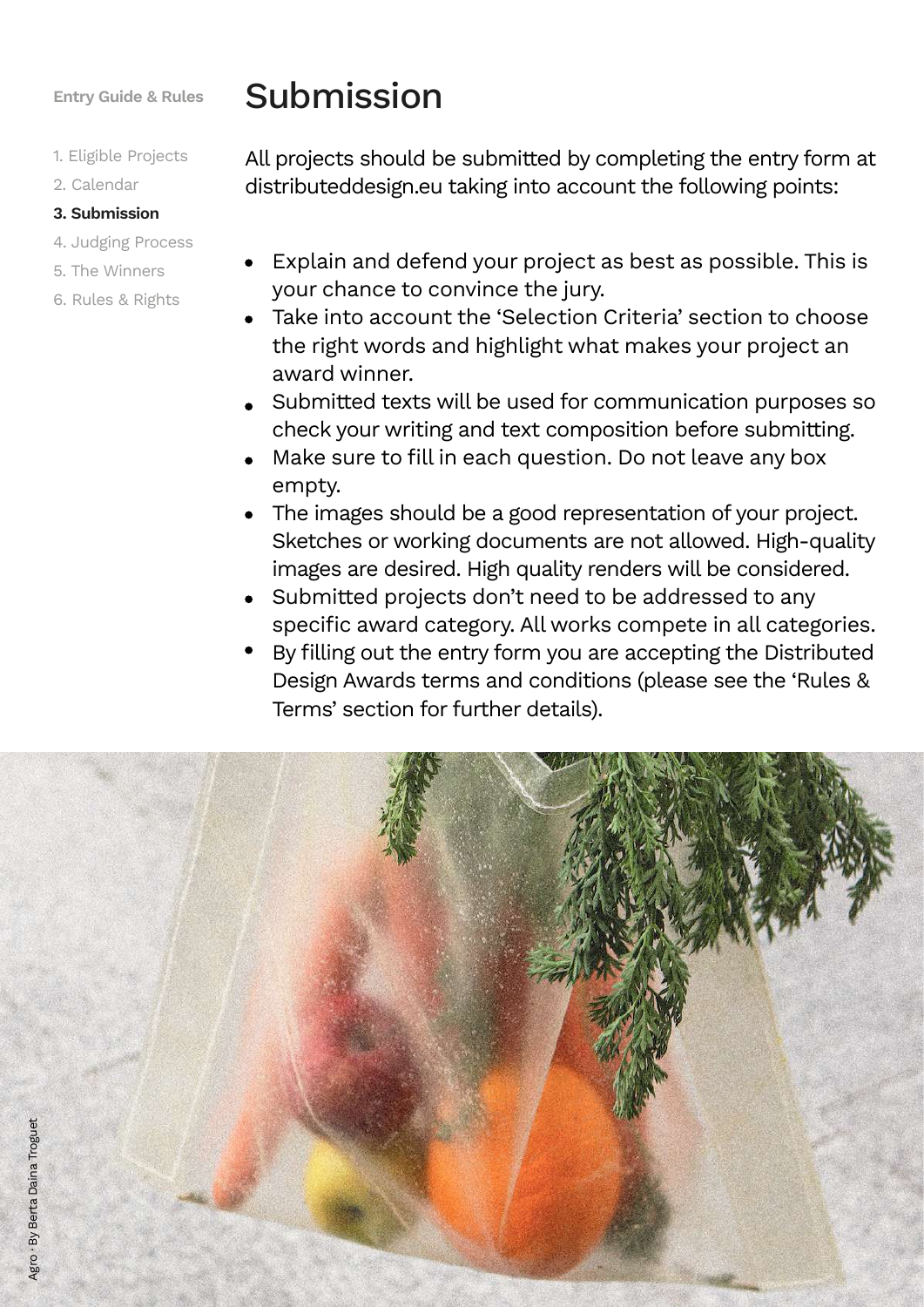- 1. Eligible Projects
- 2. Calendar

#### **3. Submission**

- 4. Judging Process
- 5. The Winners
- 6. Rules & Rights

## Submission

All projects should be submitted by completing the entry form at distributeddesign.eu taking into account the following points:

- Explain and defend your project as best as possible. This is your chance to convince the jury.
- Take into account the 'Selection Criteria' section to choose the right words and highlight what makes your project an award winner.
- Submitted texts will be used for communication purposes so check your writing and text composition before submitting.
- Make sure to fill in each question. Do not leave any box empty.
- The images should be a good representation of your project. Sketches or working documents are not allowed. High-quality images are desired. High quality renders will be considered.
- Submitted projects don't need to be addressed to any specific award category. All works compete in all categories.
- By filling out the entry form you are accepting the Distributed Design Awards terms and conditions (please see the 'Rules & Terms' section for further details).

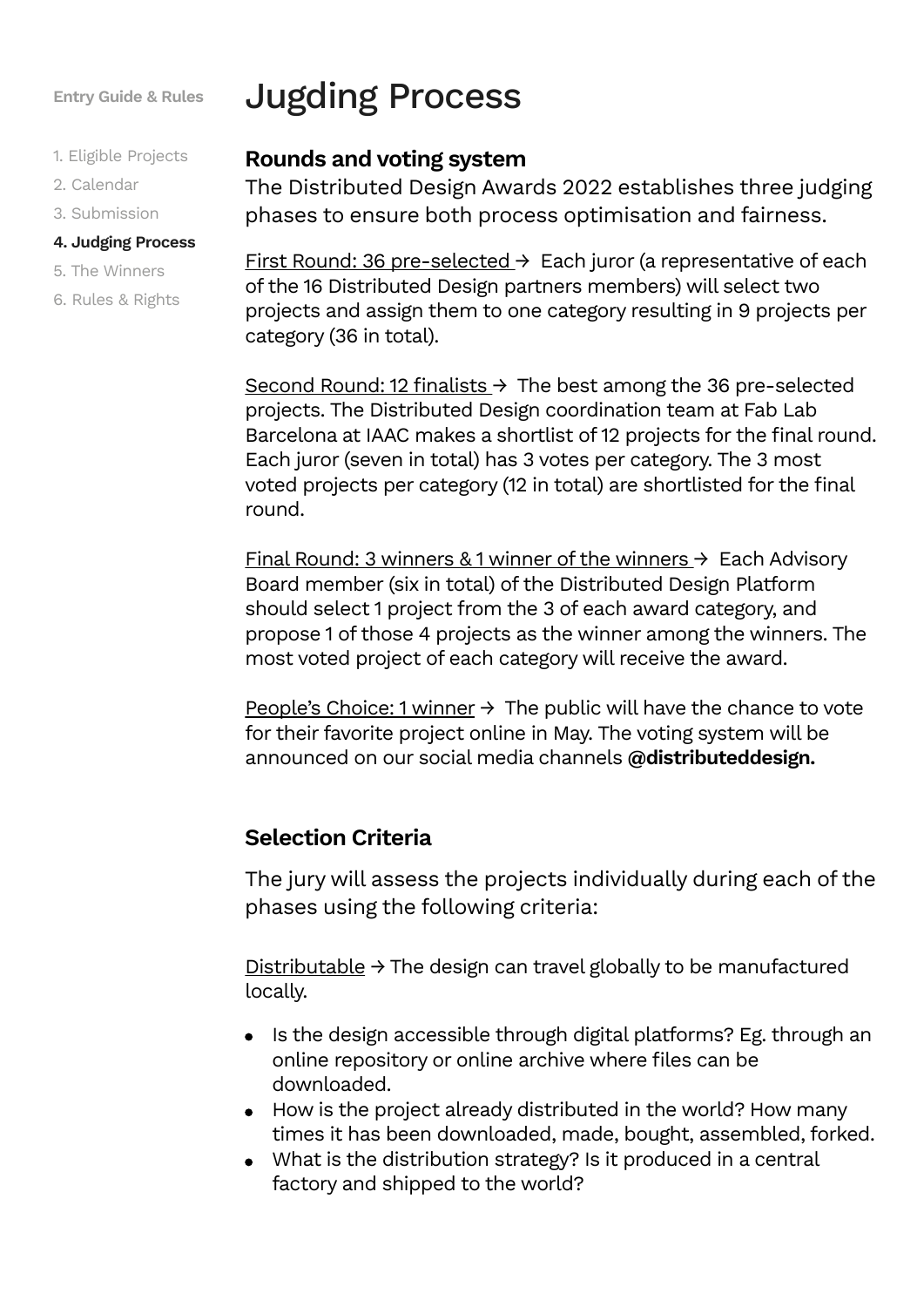- 1. Eligible Projects
- 2. Calendar
- 3. Submission

#### **4. Judging Process**

- 5. The Winners
- 6. Rules & Rights

## Jugding Process

### **Rounds and voting system**

The Distributed Design Awards 2022 establishes three judging phases to ensure both process optimisation and fairness.

First Round: 36 pre-selected → Each juror (a representative of each of the 16 Distributed Design partners members) will select two projects and assign them to one category resulting in 9 projects per category (36 in total).

Second Round: 12 finalists  $\rightarrow$  The best among the 36 pre-selected projects. The Distributed Design coordination team at Fab Lab Barcelona at IAAC makes a shortlist of 12 projects for the final round. Each juror (seven in total) has 3 votes per category. The 3 most voted projects per category (12 in total) are shortlisted for the final round.

Final Round: 3 winners & 1 winner of the winners  $\rightarrow$  Each Advisory Board member (six in total) of the Distributed Design Platform should select 1 project from the 3 of each award category, and propose 1 of those 4 projects as the winner among the winners. The most voted project of each category will receive the award.

People's Choice: 1 winner  $\rightarrow$  The public will have the chance to vote for their favorite project online in May. The voting system will be announced on our social media channels **@distributeddesign.**

#### **Selection Criteria**

The jury will assess the projects individually during each of the phases using the following criteria:

Distributable  $\rightarrow$  The design can travel globally to be manufactured locally.

- Is the design accessible through digital platforms? Eg. through an online repository or online archive where files can be downloaded.
- How is the project already distributed in the world? How many times it has been downloaded, made, bought, assembled, forked.
- What is the distribution strategy? Is it produced in a central factory and shipped to the world?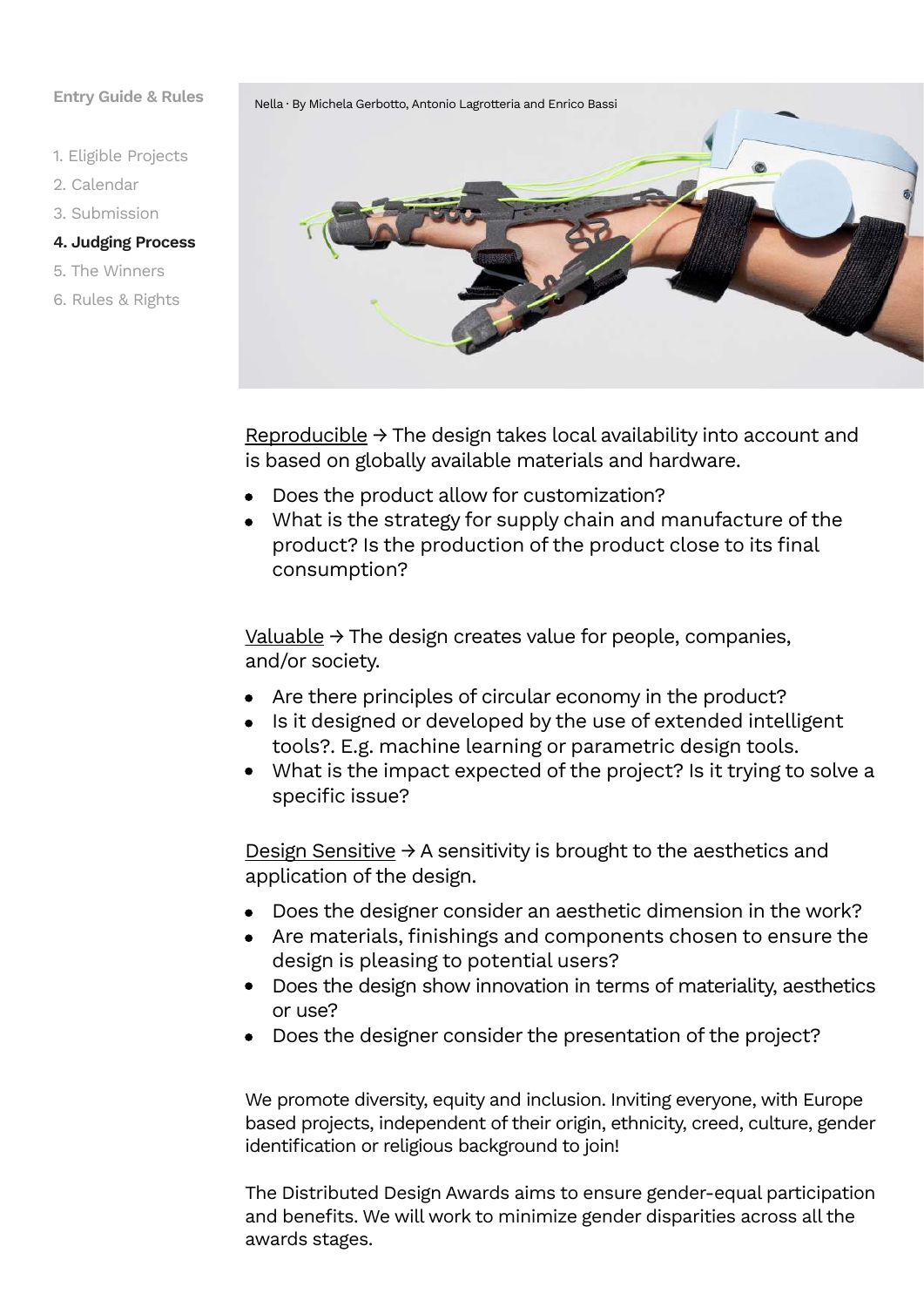- 1. Eligible Projects
- 2. Calendar
- 3. Submission
- **4. Judging Process**
- 5. The Winners
- 6. Rules & Rights

Nella · By Michela Gerbotto, Antonio Lagrotteria and Enrico Bassi

Reproducible  $\rightarrow$  The design takes local availability into account and is based on globally available materials and hardware.

- Does the product allow for customization?
- What is the strategy for supply chain and manufacture of the product? Is the production of the product close to its final consumption?

 $Valuable$  → The design creates value for people, companies, and/or society.

- Are there principles of circular economy in the product?
- Is it designed or developed by the use of extended intelligent tools?. E.g. machine learning or parametric design tools.
- What is the impact expected of the project? Is it trying to solve a specific issue?

Design Sensitive  $\rightarrow$  A sensitivity is brought to the aesthetics and application of the design.

- Does the designer consider an aesthetic dimension in the work?  $\bullet$
- Are materials, finishings and components chosen to ensure the design is pleasing to potential users?
- Does the design show innovation in terms of materiality, aesthetics or use?
- Does the designer consider the presentation of the project?

We promote diversity, equity and inclusion. Inviting everyone, with Europe based projects, independent of their origin, ethnicity, creed, culture, gender identification or religious background to join!

The Distributed Design Awards aims to ensure gender-equal participation and benefits. We will work to minimize gender disparities across all the awards stages.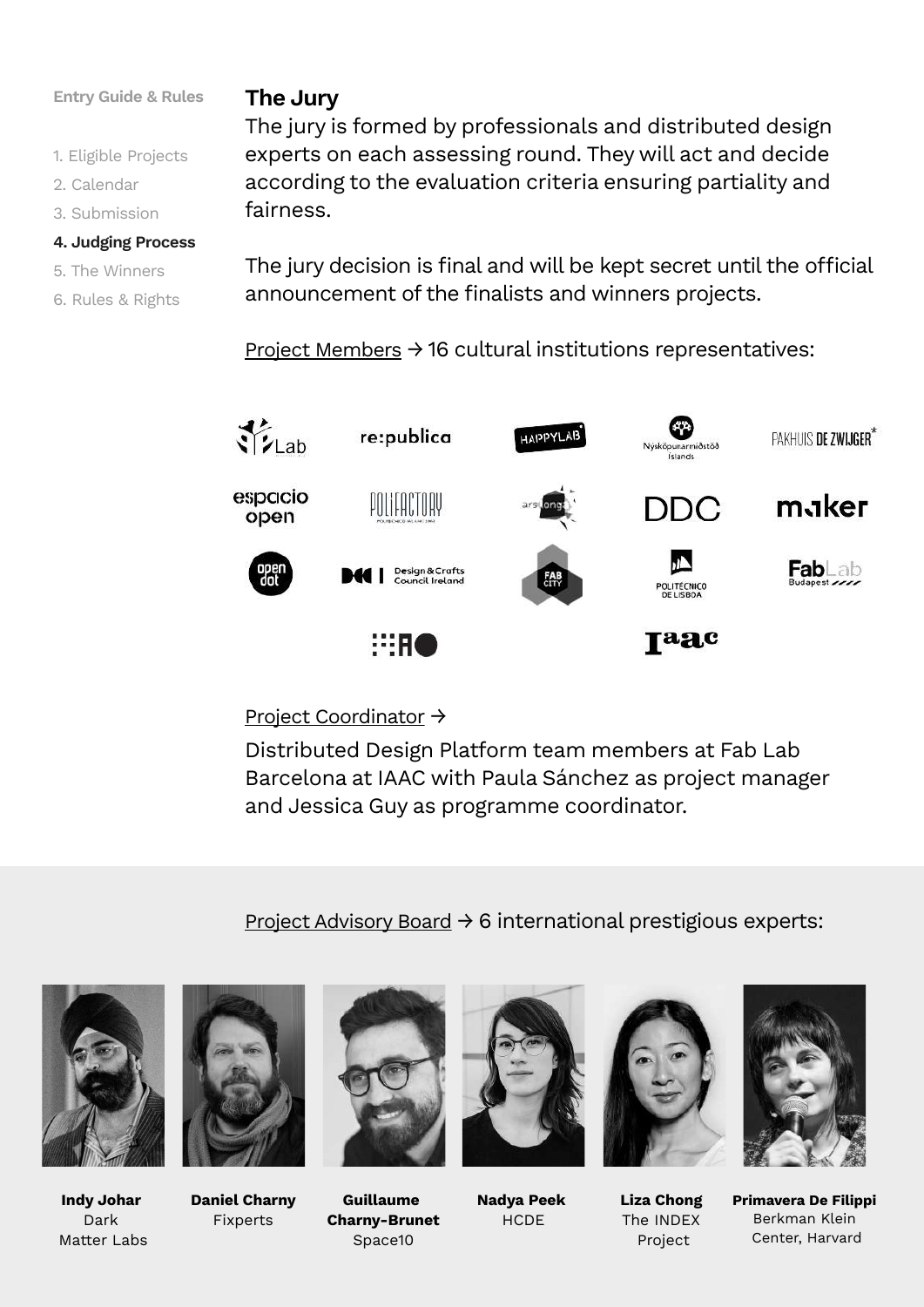#### **Entry Guide & Rules The Jury**

- 1. Eligible Projects
- 2. Calendar
- 3. Submission

#### **4. Judging Process**

- 5. The Winners
- 6. Rules & Rights

The jury is formed by professionals and distributed design experts on each assessing round. They will act and decide according to the evaluation criteria ensuring partiality and fairness.

The jury decision is final and will be kept secret until the official announcement of the finalists and winners projects.

Project Members  $\rightarrow$  16 cultural institutions representatives:



#### Project Coordinator →

Distributed Design Platform team members at Fab Lab Barcelona at IAAC with Paula Sánchez as project manager and Jessica Guy as programme coordinator.

Project Advisory Board  $\rightarrow$  6 international prestigious experts:



**Indy Johar**  Dark Matter Labs



**Daniel Charny** Fixperts



**Guillaume Charny-Brunet** Space10



**Nadya Peek HCDE** 



**Liza Chong**  The INDEX Project



**Primavera De Filippi** Berkman Klein Center, Harvard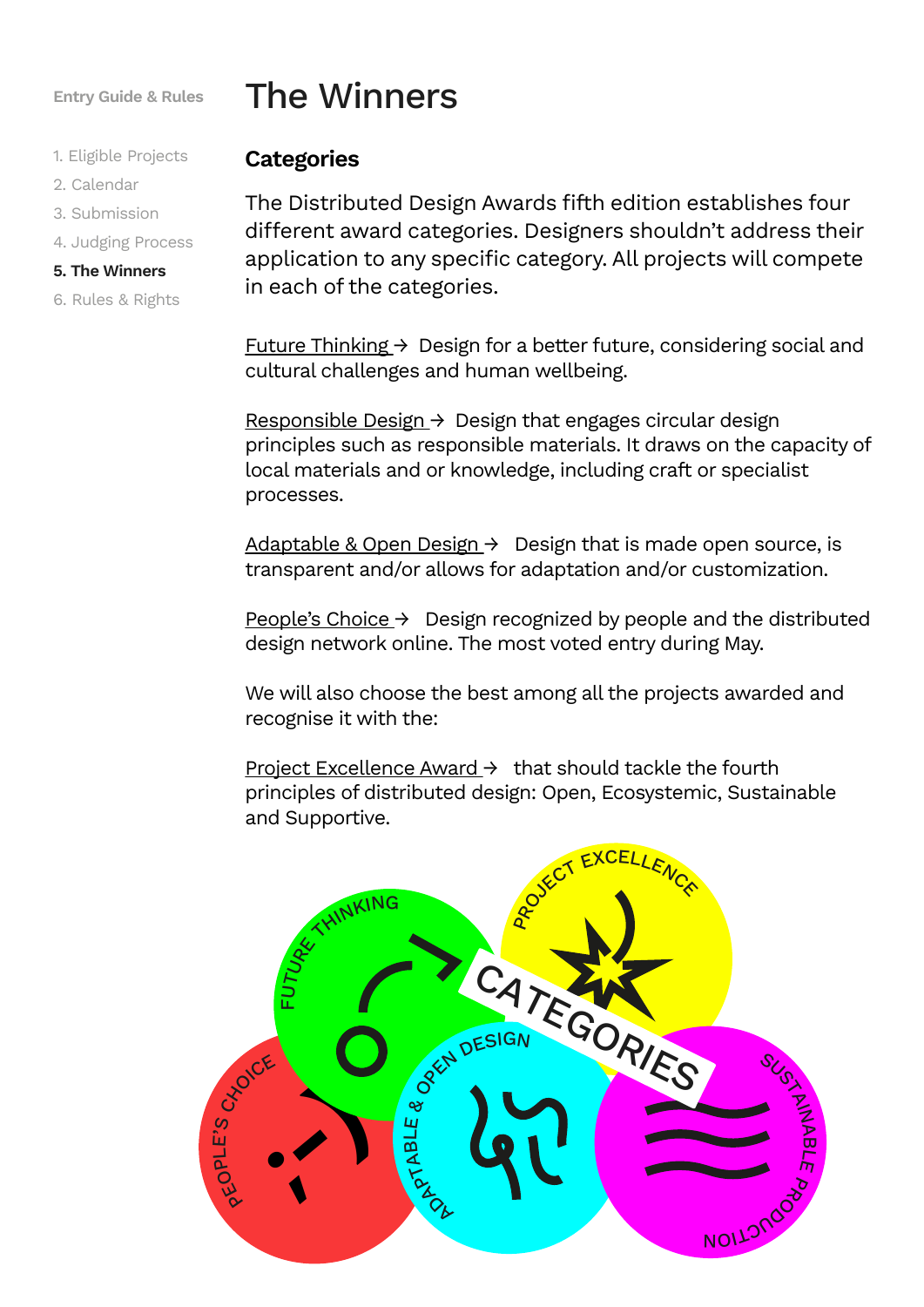- 1. Eligible Projects
- 2. Calendar
- 3. Submission
- 4. Judging Process

#### **5. The Winners**

6. Rules & Rights

## The Winners

#### **Categories**

The Distributed Design Awards fifth edition establishes four different award categories. Designers shouldn't address their application to any specific category. All projects will compete in each of the categories.

Future Thinking  $\rightarrow$  Design for a better future, considering social and cultural challenges and human wellbeing.

Responsible Design  $\rightarrow$  Design that engages circular design principles such as responsible materials. It draws on the capacity of local materials and or knowledge, including craft or specialist processes.

Adaptable & Open Design  $\rightarrow$  Design that is made open source, is transparent and/or allows for adaptation and/or customization.

People's Choice  $\rightarrow$  Design recognized by people and the distributed design network online. The most voted entry during May.

We will also choose the best among all the projects awarded and recognise it with the:

Project Excellence Award  $\rightarrow$  that should tackle the fourth principles of distributed design: Open, Ecosystemic, Sustainable and Supportive.

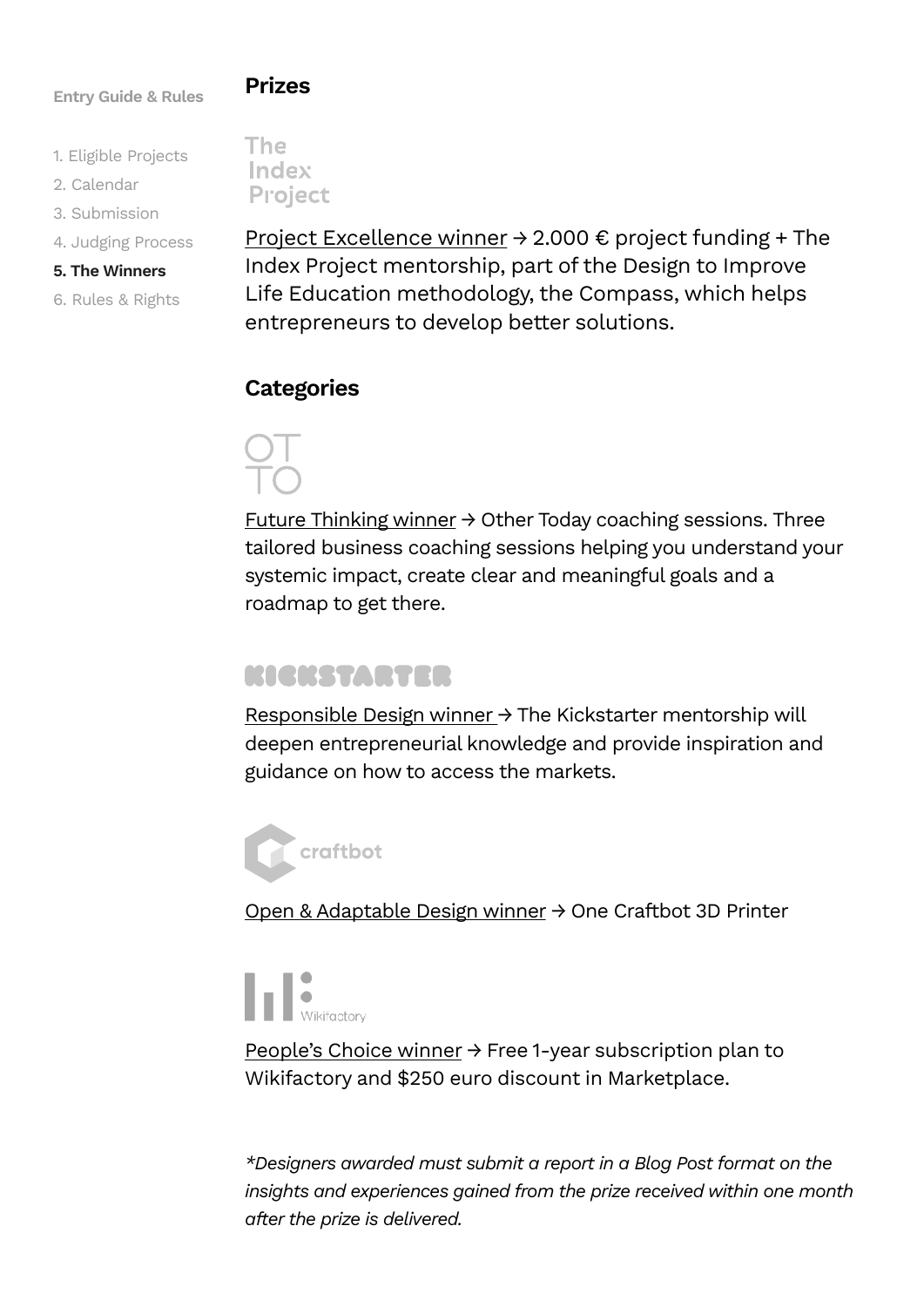#### **Prizes**

- 1. Eligible Projects
- 2. Calendar
- 3. Submission
- 4. Judging Process

#### **5. The Winners**

6. Rules & Rights

**The** Index **Project** 

Project Excellence winner → 2.000 € project funding + The Index Project mentorship, part of the Design to Improve Life Education methodology, the Compass, which helps entrepreneurs to develop better solutions.

## **Categories**

Future Thinking winner  $\rightarrow$  Other Today coaching sessions. Three tailored business coaching sessions helping you understand your systemic impact, create clear and meaningful goals and a roadmap to get there.

## EICHS ZYSTER

Responsible Design winner → The Kickstarter mentorship will deepen entrepreneurial knowledge and provide inspiration and guidance on how to access the markets.



Open & Adaptable Design winner → One Craftbot 3D Printer

**NEWikifactory** 

People's Choice winner → Free 1-year subscription plan to Wikifactory and \$250 euro discount in Marketplace.

*\*Designers awarded must submit a report in a Blog Post format on the insights and experiences gained from the prize received within one month after the prize is delivered.*